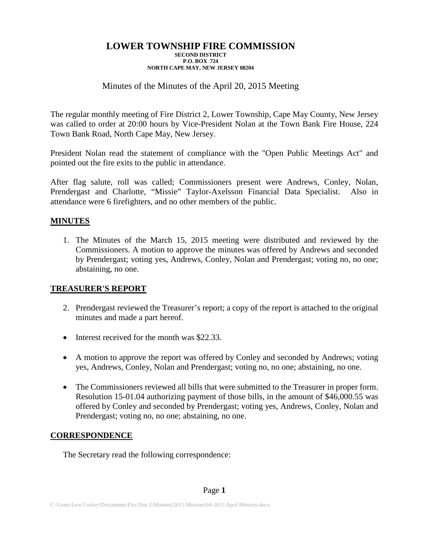# Minutes of the Minutes of the April 20, 2015 Meeting

The regular monthly meeting of Fire District 2, Lower Township, Cape May County, New Jersey was called to order at 20:00 hours by Vice-President Nolan at the Town Bank Fire House, 224 Town Bank Road, North Cape May, New Jersey.

President Nolan read the statement of compliance with the "Open Public Meetings Act" and pointed out the fire exits to the public in attendance.

After flag salute, roll was called; Commissioners present were Andrews, Conley, Nolan, Prendergast and Charlotte, "Missie" Taylor-Axelsson Financial Data Specialist. Also in attendance were 6 firefighters, and no other members of the public.

## **MINUTES**

1. The Minutes of the March 15, 2015 meeting were distributed and reviewed by the Commissioners. A motion to approve the minutes was offered by Andrews and seconded by Prendergast; voting yes, Andrews, Conley, Nolan and Prendergast; voting no, no one; abstaining, no one.

## **TREASURER'S REPORT**

- 2. Prendergast reviewed the Treasurer's report; a copy of the report is attached to the original minutes and made a part hereof.
- Interest received for the month was \$22.33.
- A motion to approve the report was offered by Conley and seconded by Andrews; voting yes, Andrews, Conley, Nolan and Prendergast; voting no, no one; abstaining, no one.
- The Commissioners reviewed all bills that were submitted to the Treasurer in proper form. Resolution 15-01.04 authorizing payment of those bills, in the amount of \$46,000.55 was offered by Conley and seconded by Prendergast; voting yes, Andrews, Conley, Nolan and Prendergast; voting no, no one; abstaining, no one.

# **CORRESPONDENCE**

The Secretary read the following correspondence: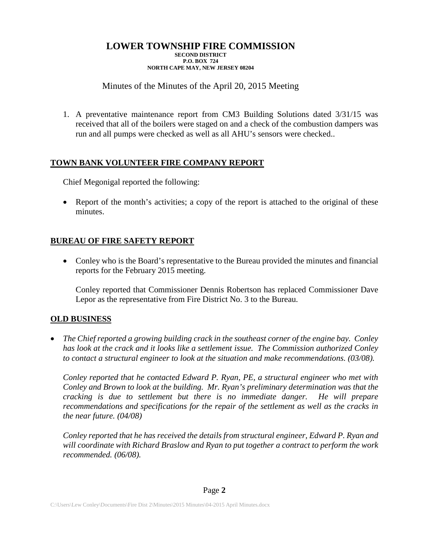# Minutes of the Minutes of the April 20, 2015 Meeting

1. A preventative maintenance report from CM3 Building Solutions dated 3/31/15 was received that all of the boilers were staged on and a check of the combustion dampers was run and all pumps were checked as well as all AHU's sensors were checked..

## **TOWN BANK VOLUNTEER FIRE COMPANY REPORT**

Chief Megonigal reported the following:

• Report of the month's activities; a copy of the report is attached to the original of these minutes.

# **BUREAU OF FIRE SAFETY REPORT**

• Conley who is the Board's representative to the Bureau provided the minutes and financial reports for the February 2015 meeting.

Conley reported that Commissioner Dennis Robertson has replaced Commissioner Dave Lepor as the representative from Fire District No. 3 to the Bureau.

# **OLD BUSINESS**

• *The Chief reported a growing building crack in the southeast corner of the engine bay. Conley has look at the crack and it looks like a settlement issue. The Commission authorized Conley to contact a structural engineer to look at the situation and make recommendations. (03/08).*

*Conley reported that he contacted Edward P. Ryan, PE, a structural engineer who met with Conley and Brown to look at the building. Mr. Ryan's preliminary determination was that the cracking is due to settlement but there is no immediate danger. He will prepare recommendations and specifications for the repair of the settlement as well as the cracks in the near future. (04/08)*

*Conley reported that he has received the details from structural engineer, Edward P. Ryan and will coordinate with Richard Braslow and Ryan to put together a contract to perform the work recommended. (06/08).*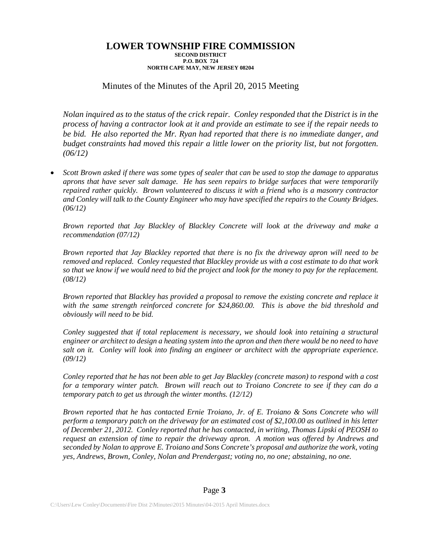## Minutes of the Minutes of the April 20, 2015 Meeting

*Nolan inquired as to the status of the crick repair. Conley responded that the District is in the process of having a contractor look at it and provide an estimate to see if the repair needs to be bid. He also reported the Mr. Ryan had reported that there is no immediate danger, and budget constraints had moved this repair a little lower on the priority list, but not forgotten. (06/12)*

• *Scott Brown asked if there was some types of sealer that can be used to stop the damage to apparatus aprons that have sever salt damage. He has seen repairs to bridge surfaces that were temporarily repaired rather quickly. Brown volunteered to discuss it with a friend who is a masonry contractor and Conley will talk to the County Engineer who may have specified the repairs to the County Bridges. (06/12)*

*Brown reported that Jay Blackley of Blackley Concrete will look at the driveway and make a recommendation (07/12)*

*Brown reported that Jay Blackley reported that there is no fix the driveway apron will need to be removed and replaced. Conley requested that Blackley provide us with a cost estimate to do that work so that we know if we would need to bid the project and look for the money to pay for the replacement. (08/12)*

*Brown reported that Blackley has provided a proposal to remove the existing concrete and replace it with the same strength reinforced concrete for \$24,860.00. This is above the bid threshold and obviously will need to be bid.*

*Conley suggested that if total replacement is necessary, we should look into retaining a structural engineer or architect to design a heating system into the apron and then there would be no need to have salt on it. Conley will look into finding an engineer or architect with the appropriate experience. (09/12)*

*Conley reported that he has not been able to get Jay Blackley (concrete mason) to respond with a cost for a temporary winter patch. Brown will reach out to Troiano Concrete to see if they can do a temporary patch to get us through the winter months. (12/12)*

*Brown reported that he has contacted Ernie Troiano, Jr. of E. Troiano & Sons Concrete who will perform a temporary patch on the driveway for an estimated cost of \$2,100.00 as outlined in his letter of December 21, 2012. Conley reported that he has contacted, in writing, Thomas Lipski of PEOSH to request an extension of time to repair the driveway apron. A motion was offered by Andrews and seconded by Nolan to approve E. Troiano and Sons Concrete's proposal and authorize the work, voting yes, Andrews, Brown, Conley, Nolan and Prendergast; voting no, no one; abstaining, no one.*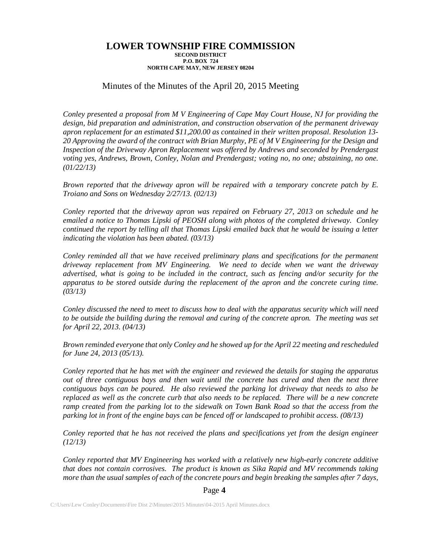## Minutes of the Minutes of the April 20, 2015 Meeting

*Conley presented a proposal from M V Engineering of Cape May Court House, NJ for providing the design, bid preparation and administration, and construction observation of the permanent driveway apron replacement for an estimated \$11,200.00 as contained in their written proposal. Resolution 13- 20 Approving the award of the contract with Brian Murphy, PE of M V Engineering for the Design and Inspection of the Driveway Apron Replacement was offered by Andrews and seconded by Prendergast voting yes, Andrews, Brown, Conley, Nolan and Prendergast; voting no, no one; abstaining, no one. (01/22/13)*

*Brown reported that the driveway apron will be repaired with a temporary concrete patch by E. Troiano and Sons on Wednesday 2/27/13. (02/13)*

*Conley reported that the driveway apron was repaired on February 27, 2013 on schedule and he emailed a notice to Thomas Lipski of PEOSH along with photos of the completed driveway. Conley continued the report by telling all that Thomas Lipski emailed back that he would be issuing a letter indicating the violation has been abated. (03/13)*

*Conley reminded all that we have received preliminary plans and specifications for the permanent driveway replacement from MV Engineering. We need to decide when we want the driveway advertised, what is going to be included in the contract, such as fencing and/or security for the apparatus to be stored outside during the replacement of the apron and the concrete curing time. (03/13)*

*Conley discussed the need to meet to discuss how to deal with the apparatus security which will need to be outside the building during the removal and curing of the concrete apron. The meeting was set for April 22, 2013. (04/13)*

*Brown reminded everyone that only Conley and he showed up for the April 22 meeting and rescheduled for June 24, 2013 (05/13).*

*Conley reported that he has met with the engineer and reviewed the details for staging the apparatus out of three contiguous bays and then wait until the concrete has cured and then the next three contiguous bays can be poured. He also reviewed the parking lot driveway that needs to also be replaced as well as the concrete curb that also needs to be replaced. There will be a new concrete ramp created from the parking lot to the sidewalk on Town Bank Road so that the access from the parking lot in front of the engine bays can be fenced off or landscaped to prohibit access. (08/13)* 

*Conley reported that he has not received the plans and specifications yet from the design engineer (12/13)*

*Conley reported that MV Engineering has worked with a relatively new high-early concrete additive that does not contain corrosives. The product is known as Sika Rapid and MV recommends taking more than the usual samples of each of the concrete pours and begin breaking the samples after 7 days,* 

### Page **4**

C:\Users\Lew Conley\Documents\Fire Dist 2\Minutes\2015 Minutes\04-2015 April Minutes.docx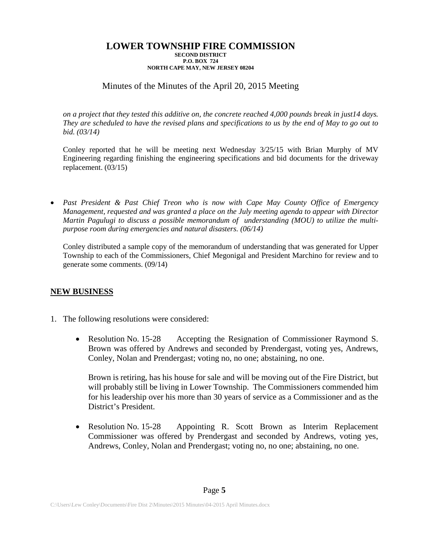# Minutes of the Minutes of the April 20, 2015 Meeting

*on a project that they tested this additive on, the concrete reached 4,000 pounds break in just14 days. They are scheduled to have the revised plans and specifications to us by the end of May to go out to bid. (03/14)*

Conley reported that he will be meeting next Wednesday 3/25/15 with Brian Murphy of MV Engineering regarding finishing the engineering specifications and bid documents for the driveway replacement. (03/15)

• *Past President & Past Chief Treon who is now with Cape May County Office of Emergency Management, requested and was granted a place on the July meeting agenda to appear with Director Martin Pagulugi to discuss a possible memorandum of understanding (MOU) to utilize the multipurpose room during emergencies and natural disasters. (06/14)*

Conley distributed a sample copy of the memorandum of understanding that was generated for Upper Township to each of the Commissioners, Chief Megonigal and President Marchino for review and to generate some comments. (09/14)

## **NEW BUSINESS**

- 1. The following resolutions were considered:
	- Resolution No. 15-28 Accepting the Resignation of Commissioner Raymond S. Brown was offered by Andrews and seconded by Prendergast, voting yes, Andrews, Conley, Nolan and Prendergast; voting no, no one; abstaining, no one.

Brown is retiring, has his house for sale and will be moving out of the Fire District, but will probably still be living in Lower Township. The Commissioners commended him for his leadership over his more than 30 years of service as a Commissioner and as the District's President.

• Resolution No. 15-28 Appointing R. Scott Brown as Interim Replacement Commissioner was offered by Prendergast and seconded by Andrews, voting yes, Andrews, Conley, Nolan and Prendergast; voting no, no one; abstaining, no one.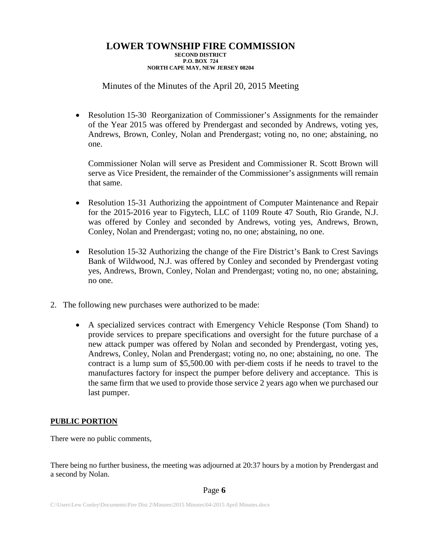# Minutes of the Minutes of the April 20, 2015 Meeting

• Resolution 15-30 Reorganization of Commissioner's Assignments for the remainder of the Year 2015 was offered by Prendergast and seconded by Andrews, voting yes, Andrews, Brown, Conley, Nolan and Prendergast; voting no, no one; abstaining, no one.

Commissioner Nolan will serve as President and Commissioner R. Scott Brown will serve as Vice President, the remainder of the Commissioner's assignments will remain that same.

- Resolution 15-31 Authorizing the appointment of Computer Maintenance and Repair for the 2015-2016 year to Figytech, LLC of 1109 Route 47 South, Rio Grande, N.J. was offered by Conley and seconded by Andrews, voting yes, Andrews, Brown, Conley, Nolan and Prendergast; voting no, no one; abstaining, no one.
- Resolution 15-32 Authorizing the change of the Fire District's Bank to Crest Savings Bank of Wildwood, N.J. was offered by Conley and seconded by Prendergast voting yes, Andrews, Brown, Conley, Nolan and Prendergast; voting no, no one; abstaining, no one.
- 2. The following new purchases were authorized to be made:
	- A specialized services contract with Emergency Vehicle Response (Tom Shand) to provide services to prepare specifications and oversight for the future purchase of a new attack pumper was offered by Nolan and seconded by Prendergast, voting yes, Andrews, Conley, Nolan and Prendergast; voting no, no one; abstaining, no one. The contract is a lump sum of \$5,500.00 with per-diem costs if he needs to travel to the manufactures factory for inspect the pumper before delivery and acceptance. This is the same firm that we used to provide those service 2 years ago when we purchased our last pumper.

## **PUBLIC PORTION**

There were no public comments,

There being no further business, the meeting was adjourned at 20:37 hours by a motion by Prendergast and a second by Nolan.

### Page **6**

C:\Users\Lew Conley\Documents\Fire Dist 2\Minutes\2015 Minutes\04-2015 April Minutes.docx